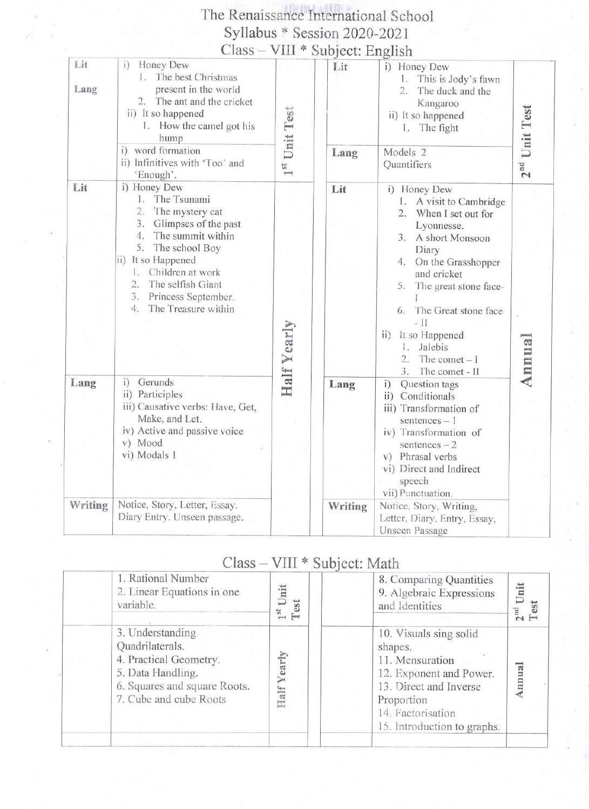## The Renaissance International School Syllabus \* Session 2020-2021

|             |                                                                                                                                                                                                                                                                                  |               | Class – VIII * Subject: English |                                                                                                                                                                                                                                                                                                                      |                 |
|-------------|----------------------------------------------------------------------------------------------------------------------------------------------------------------------------------------------------------------------------------------------------------------------------------|---------------|---------------------------------|----------------------------------------------------------------------------------------------------------------------------------------------------------------------------------------------------------------------------------------------------------------------------------------------------------------------|-----------------|
| Lit<br>Lang | Honey Dew<br>i)<br>The best Christmas<br>present in the world<br>2. The ant and the cricket<br>ii) It so happened<br>1. How the camel got his<br>hump                                                                                                                            | 1st Unit Test | Lit                             | i) Honey Dew<br>This is Jody's fawn<br>1.<br>The duck and the<br>Kangaroo<br>ii) It so happened<br>1. The fight                                                                                                                                                                                                      | $2nd$ Unit Test |
|             | i) word formation<br>ii) Infinitives with 'Too' and<br>'Enough'.                                                                                                                                                                                                                 |               | Lang                            | Models <sub>2</sub><br>Quantifiers                                                                                                                                                                                                                                                                                   |                 |
| Lit         | i) Honey Dew<br>The Tsunami<br>1.<br>2.<br>The mystery cat<br>3.<br>Glimpses of the past<br>4.<br>The summit within<br>The school Boy<br>5.<br>ii) It so Happened<br>Children at work<br>E.<br>The selfish Giant<br>2.<br>Princess September.<br>3.<br>The Treasure within<br>4. | Half Yearly   | Lit                             | i) Honey Dew<br>1. A visit to Cambridge<br>When I set out for<br>Lyonnesse.<br>A short Monsoon<br>3.<br>Diary<br>On the Grasshopper<br>4.<br>and cricket<br>The great stone face-<br>5.<br>6. The Great stone face<br>$-$ II<br>ii) It so Happened<br>Jalebis<br>L.<br>The comet $-1$<br>2.1<br>The comet - II<br>3. | Annua           |
| Lang        | i) Gerunds<br>ii) Participles<br>iii) Causative verbs: Have, Get,<br>Make, and Let.<br>iv) Active and passive voice<br>v) Mood<br>vi) Modals 1                                                                                                                                   |               | Lang                            | Question tags<br>i)<br>ii) Conditionals<br>iii) Transformation of<br>sentences $-1$<br>iv) Transformation of<br>sentences $-2$<br>v) Phrasal verbs<br>vi) Direct and Indirect<br>speech<br>vii) Punctuation.                                                                                                         |                 |
| Writing     | Notice, Story, Letter, Essay.<br>Diary Entry. Unseen passage.                                                                                                                                                                                                                    |               | Writing                         | Notice, Story, Writing,<br>Letter, Diary, Entry, Essay,<br>Unseen Passage                                                                                                                                                                                                                                            |                 |

#### Class - VIII \* Subject: Math

| 1. Rational Number<br>2. Linear Equations in one<br>variable.                                                                                | nit<br>est<br>$\rightarrow$ | 8. Comparing Quantities<br>9. Algebraic Expressions<br>and Identities                                                                                                       | $2nd Unit$<br>T <sub>por</sub> |
|----------------------------------------------------------------------------------------------------------------------------------------------|-----------------------------|-----------------------------------------------------------------------------------------------------------------------------------------------------------------------------|--------------------------------|
| 3. Understanding<br>Quadrilaterals.<br>4. Practical Geometry.<br>5. Data Handling.<br>6. Squares and square Roots.<br>7. Cube and cube Roots | early<br>Half               | 10. Visuals sing solid<br>shapes.<br>11. Mensuration<br>12. Exponent and Power.<br>13. Direct and Inverse<br>Proportion<br>14. Factorisation<br>15. Introduction to graphs. | nnua                           |
|                                                                                                                                              |                             |                                                                                                                                                                             |                                |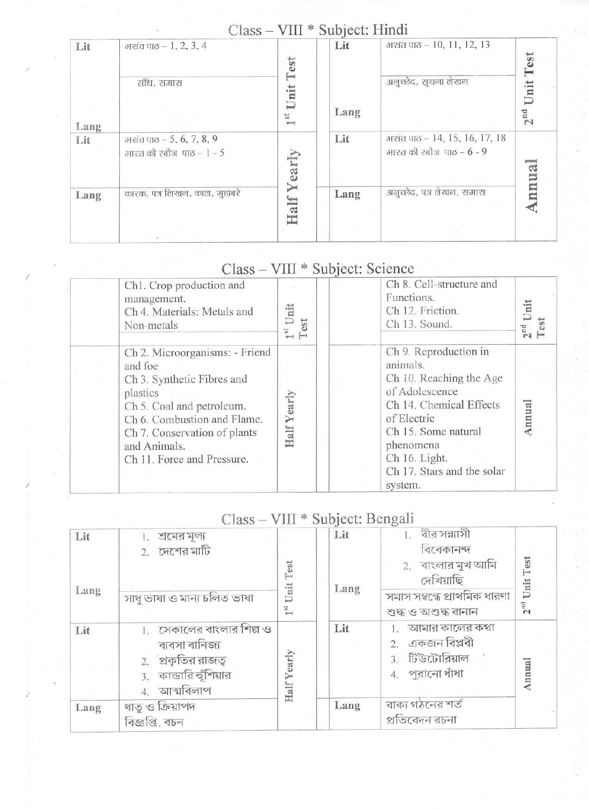#### Class - VIII \* Subject: Hindi

|             | へいいいつ                                                 | $\mathbf{v}$ and $\mathbf{v}$ | OUU VUI. TIIIUI |                                                              |                     |
|-------------|-------------------------------------------------------|-------------------------------|-----------------|--------------------------------------------------------------|---------------------|
| Lit<br>Lang | भसंत पाठ - 1, 2, 3, 4<br>संधि, समास                   | Test<br>Unit<br>P.<br>$v = 1$ | Lit<br>Lang     | मसंत पाठ - 10, 11, 12, 13<br>अनुच्छेद, सुचना लेखन            | es<br>Unit<br>$2nd$ |
| Lit         | भरतंत पाठ – 5, 6, 7, 8, 9<br>भारत की रबीज पाठ – 1 - 5 | Yearly                        | Lit             | गरांत पाठ - 14, 15, 16, 17, 18<br>भारत की रबीज पाठ – $6 - 9$ | U.a.                |
| Lang        | कारक, पत्र लिखन, काल, मुहाबरे                         | Half                          | Lang            | अनुच्छेद, पत्र लेखन, समास                                    | nn                  |

| Ch1. Crop production and<br>management.<br>Ch 4. Materials: Metals and<br>Non-metals                                                                                                                                          | Unit<br>Test  | Ch 8. Cell-structure and<br>Functions.<br>Ch 12. Friction.<br>Ch 13. Sound.                                                                                                                                            | $2nd$ Unit<br>Test |
|-------------------------------------------------------------------------------------------------------------------------------------------------------------------------------------------------------------------------------|---------------|------------------------------------------------------------------------------------------------------------------------------------------------------------------------------------------------------------------------|--------------------|
| Ch 2. Microorganisms: - Friend<br>and foe<br>Ch 3. Synthetic Fibres and<br>plastics<br>Ch 5. Coal and petroleum.<br>Ch 6. Combustion and Flame.<br>Ch 7. Conservation of plants<br>and Animals.<br>Ch 11. Force and Pressure. | early<br>Half | Ch 9. Reproduction in<br>animals.<br>Ch 10. Reaching the Age<br>of Adolescence<br>Ch 14. Chemical Effects<br>of Electric<br>Ch 15. Some natural<br>phenomena<br>Ch 16. Light.<br>Ch 17. Stars and the solar<br>system. | nnual              |

# Class - VIII \* Subject: Science

### Class - VIII \* Subject: Bengali

| Lit  | শ্রমের মূল্য<br>2. $\overline{C}$ দশের মাটি                                                                  |                      | Lit  | ।. বীর সন্ন্যাসী<br>বিবেকানন্দ                                           |                 |
|------|--------------------------------------------------------------------------------------------------------------|----------------------|------|--------------------------------------------------------------------------|-----------------|
|      |                                                                                                              | Test                 |      | 2. বাংলার মুখ আমি<br>দেখিয়াছি                                           | $2nd$ Unit Test |
| Lang | সাধু ভাষা ও মান্য চলিত ভাষা                                                                                  | Unit<br>$1^{\rm st}$ | Lang | সমাস সম্বন্ধে প্ৰাথমিক ধারণা<br>শুদ্ধ ও অশুদ্ধ বানান                     |                 |
| Lit  | 1.   সেকালের বাংলার শিল্প ও<br>ব্যবসা বানিজ্য<br>2. প্রকৃতির রাজত্ব<br>3. কান্ডারি হুঁশিয়ার<br>4. আত্মবিলাপ | Half Yearly          | Lit  | আমার কালের কথা<br>2. একজন বিপ্লবী<br>3. টিউটোরিয়াল<br>$4.$ পুরানো ধাঁধা | Annual          |
| Lang | ধাতু ও ক্রিয়াপদ<br>বিজ্ঞপ্তি, বচন                                                                           |                      | Lang | বাক্য গঠনের শর্ত<br>প্ৰতিবেদন রচনা                                       |                 |